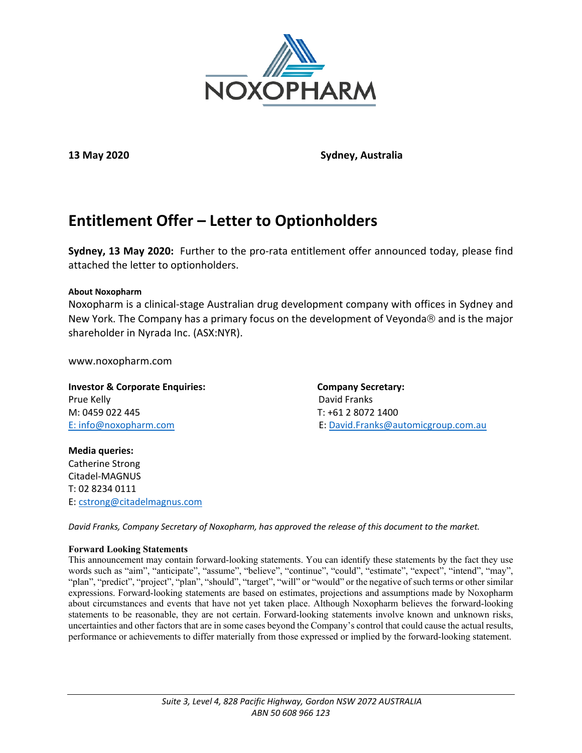

**13 May 2020 Sydney, Australia**

## **Entitlement Offer – Letter to Optionholders**

**Sydney, 13 May 2020:** Further to the pro-rata entitlement offer announced today, please find attached the letter to optionholders.

## **About Noxopharm**

Noxopharm is a clinical-stage Australian drug development company with offices in Sydney and New York. The Company has a primary focus on the development of Veyonda $\otimes$  and is the major shareholder in Nyrada Inc. (ASX:NYR).

www.noxopharm.com

**Investor & Corporate Enquiries:** Company Secretary: Prue Kelly David Franks M: 0459 022 445 T: +61 2 8072 1400

E: [info@noxopharm.com](mailto:info@noxopharm.com) E: [David.Franks@automicgroup.com.au](mailto:David.Franks@automicgroup.com.au)

**Media queries:** Catherine Strong Citadel-MAGNUS T: 02 8234 0111 E: [cstrong@citadelmagnus.com](mailto:cstrong@citadelmagnus.com)

*David Franks, Company Secretary of Noxopharm, has approved the release of this document to the market.*

## **Forward Looking Statements**

This announcement may contain forward-looking statements. You can identify these statements by the fact they use words such as "aim", "anticipate", "assume", "believe", "continue", "could", "estimate", "expect", "intend", "may", "plan", "predict", "project", "plan", "should", "target", "will" or "would" or the negative of such terms or other similar expressions. Forward-looking statements are based on estimates, projections and assumptions made by Noxopharm about circumstances and events that have not yet taken place. Although Noxopharm believes the forward-looking statements to be reasonable, they are not certain. Forward-looking statements involve known and unknown risks, uncertainties and other factors that are in some cases beyond the Company's control that could cause the actual results, performance or achievements to differ materially from those expressed or implied by the forward-looking statement.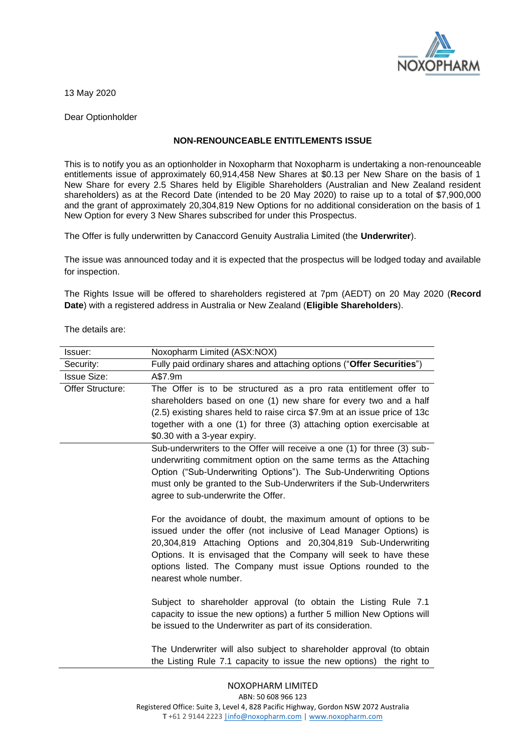

13 May 2020

Dear Optionholder

## **NON-RENOUNCEABLE ENTITLEMENTS ISSUE**

This is to notify you as an optionholder in Noxopharm that Noxopharm is undertaking a non-renounceable entitlements issue of approximately 60,914,458 New Shares at \$0.13 per New Share on the basis of 1 New Share for every 2.5 Shares held by Eligible Shareholders (Australian and New Zealand resident shareholders) as at the Record Date (intended to be 20 May 2020) to raise up to a total of \$7,900,000 and the grant of approximately 20,304,819 New Options for no additional consideration on the basis of 1 New Option for every 3 New Shares subscribed for under this Prospectus.

The Offer is fully underwritten by Canaccord Genuity Australia Limited (the **Underwriter**).

The issue was announced today and it is expected that the prospectus will be lodged today and available for inspection.

The Rights Issue will be offered to shareholders registered at 7pm (AEDT) on 20 May 2020 (**Record Date**) with a registered address in Australia or New Zealand (**Eligible Shareholders**).

The details are:

| Issuer:            | Noxopharm Limited (ASX:NOX)                                                                                                                                                                                                                                                                                                                                         |  |  |
|--------------------|---------------------------------------------------------------------------------------------------------------------------------------------------------------------------------------------------------------------------------------------------------------------------------------------------------------------------------------------------------------------|--|--|
| Security:          | Fully paid ordinary shares and attaching options ("Offer Securities")                                                                                                                                                                                                                                                                                               |  |  |
| <b>Issue Size:</b> | A\$7.9m                                                                                                                                                                                                                                                                                                                                                             |  |  |
| Offer Structure:   | The Offer is to be structured as a pro rata entitlement offer to<br>shareholders based on one (1) new share for every two and a half<br>(2.5) existing shares held to raise circa \$7.9m at an issue price of 13c<br>together with a one (1) for three (3) attaching option exercisable at<br>\$0.30 with a 3-year expiry.                                          |  |  |
|                    | Sub-underwriters to the Offer will receive a one (1) for three (3) sub-<br>underwriting commitment option on the same terms as the Attaching<br>Option ("Sub-Underwriting Options"). The Sub-Underwriting Options<br>must only be granted to the Sub-Underwriters if the Sub-Underwriters<br>agree to sub-underwrite the Offer.                                     |  |  |
|                    | For the avoidance of doubt, the maximum amount of options to be<br>issued under the offer (not inclusive of Lead Manager Options) is<br>20,304,819 Attaching Options and 20,304,819 Sub-Underwriting<br>Options. It is envisaged that the Company will seek to have these<br>options listed. The Company must issue Options rounded to the<br>nearest whole number. |  |  |
|                    | Subject to shareholder approval (to obtain the Listing Rule 7.1<br>capacity to issue the new options) a further 5 million New Options will<br>be issued to the Underwriter as part of its consideration.                                                                                                                                                            |  |  |
|                    | The Underwriter will also subject to shareholder approval (to obtain<br>the Listing Rule 7.1 capacity to issue the new options) the right to                                                                                                                                                                                                                        |  |  |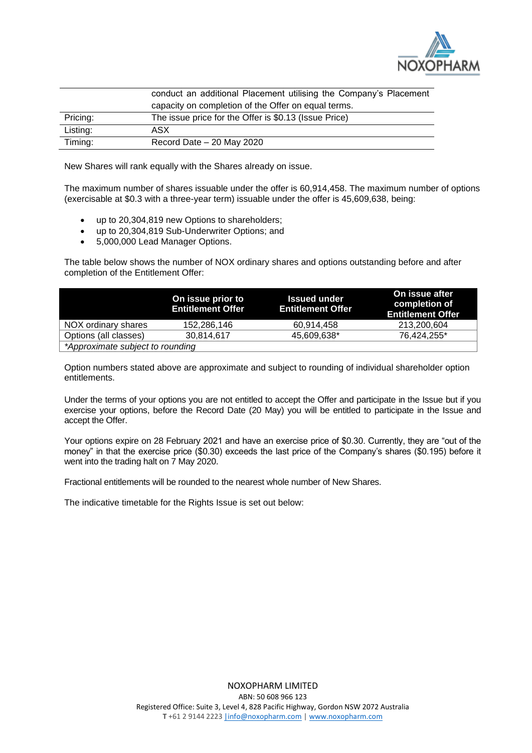

|          | conduct an additional Placement utilising the Company's Placement |
|----------|-------------------------------------------------------------------|
|          | capacity on completion of the Offer on equal terms.               |
| Pricing: | The issue price for the Offer is \$0.13 (Issue Price)             |
| Listing: | ASX                                                               |
| Timing:  | Record Date – 20 May 2020                                         |

New Shares will rank equally with the Shares already on issue.

The maximum number of shares issuable under the offer is 60,914,458. The maximum number of options (exercisable at \$0.3 with a three-year term) issuable under the offer is 45,609,638, being:

- up to 20,304,819 new Options to shareholders;
- up to 20,304,819 Sub-Underwriter Options; and
- 5,000,000 Lead Manager Options.

The table below shows the number of NOX ordinary shares and options outstanding before and after completion of the Entitlement Offer:

|                                  | On issue prior to<br><b>Entitlement Offer</b> | <b>Issued under</b><br><b>Entitlement Offer</b> | On issue after<br>completion of<br><b>Entitlement Offer</b> |  |
|----------------------------------|-----------------------------------------------|-------------------------------------------------|-------------------------------------------------------------|--|
| NOX ordinary shares              | 152,286,146                                   | 60.914.458                                      | 213.200.604                                                 |  |
| Options (all classes)            | 30.814.617                                    | 45.609.638*                                     | 76.424.255*                                                 |  |
| *Approximate subject to rounding |                                               |                                                 |                                                             |  |

Option numbers stated above are approximate and subject to rounding of individual shareholder option entitlements.

Under the terms of your options you are not entitled to accept the Offer and participate in the Issue but if you exercise your options, before the Record Date (20 May) you will be entitled to participate in the Issue and accept the Offer.

Your options expire on 28 February 2021 and have an exercise price of \$0.30. Currently, they are "out of the money" in that the exercise price (\$0.30) exceeds the last price of the Company's shares (\$0.195) before it went into the trading halt on 7 May 2020.

Fractional entitlements will be rounded to the nearest whole number of New Shares.

The indicative timetable for the Rights Issue is set out below: